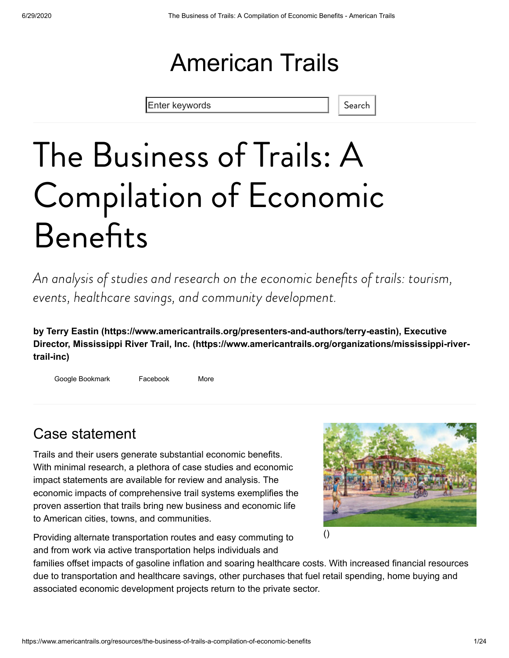## American Trails

Enter keywords **Search** Search

# The Business of Trails: A Compilation of Economic **Benefits**

An analysis of studies and research on the economic benefits of trails: tourism, events, healthcare savings, and community development.

**by [Terry Eastin \(https://www.americantrails.org/presenters-and-authors/terry-eastin\),](https://www.americantrails.org/presenters-and-authors/terry-eastin) Executive [Director, Mississippi River Trail, Inc. \(https://www.americantrails.org/organizations/mississippi-river](https://www.americantrails.org/organizations/mississippi-river-trail-inc)trail-inc)**

Google Bookmark Facebook More

## Case statement

Trails and their users generate substantial economic benefits. With minimal research, a plethora of case studies and economic impact statements are available for review and analysis. The economic impacts of comprehensive trail systems exemplifies the proven assertion that trails bring new business and economic life to American cities, towns, and communities.



Providing alternate transportation routes and easy commuting to and from work via active transportation helps individuals and

families offset impacts of gasoline inflation and soaring healthcare costs. With increased financial resources due to transportation and healthcare savings, other purchases that fuel retail spending, home buying and associated economic development projects return to the private sector.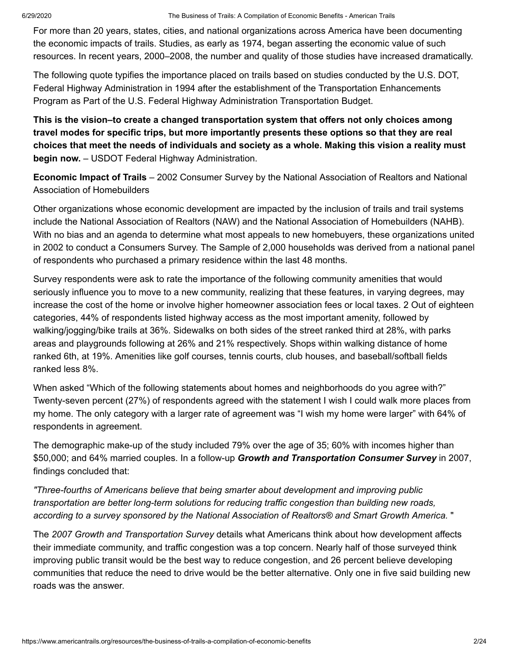For more than 20 years, states, cities, and national organizations across America have been documenting the economic impacts of trails. Studies, as early as 1974, began asserting the economic value of such resources. In recent years, 2000–2008, the number and quality of those studies have increased dramatically.

The following quote typifies the importance placed on trails based on studies conducted by the U.S. DOT, Federal Highway Administration in 1994 after the establishment of the Transportation Enhancements Program as Part of the U.S. Federal Highway Administration Transportation Budget.

**This is the vision–to create a changed transportation system that offers not only choices among travel modes for specific trips, but more importantly presents these options so that they are real choices that meet the needs of individuals and society as a whole. Making this vision a reality must begin now.** – USDOT Federal Highway Administration.

**Economic Impact of Trails** – 2002 Consumer Survey by the National Association of Realtors and National Association of Homebuilders

Other organizations whose economic development are impacted by the inclusion of trails and trail systems include the National Association of Realtors (NAW) and the National Association of Homebuilders (NAHB). With no bias and an agenda to determine what most appeals to new homebuyers, these organizations united in 2002 to conduct a Consumers Survey. The Sample of 2,000 households was derived from a national panel of respondents who purchased a primary residence within the last 48 months.

Survey respondents were ask to rate the importance of the following community amenities that would seriously influence you to move to a new community, realizing that these features, in varying degrees, may increase the cost of the home or involve higher homeowner association fees or local taxes. 2 Out of eighteen categories, 44% of respondents listed highway access as the most important amenity, followed by walking/jogging/bike trails at 36%. Sidewalks on both sides of the street ranked third at 28%, with parks areas and playgrounds following at 26% and 21% respectively. Shops within walking distance of home ranked 6th, at 19%. Amenities like golf courses, tennis courts, club houses, and baseball/softball fields ranked less 8%.

When asked "Which of the following statements about homes and neighborhoods do you agree with?" Twenty-seven percent (27%) of respondents agreed with the statement I wish I could walk more places from my home. The only category with a larger rate of agreement was "I wish my home were larger" with 64% of respondents in agreement.

The demographic make-up of the study included 79% over the age of 35; 60% with incomes higher than \$50,000; and 64% married couples. In a follow-up *Growth and Transportation Consumer Survey* in 2007, findings concluded that:

*"Three-fourths of Americans believe that being smarter about development and improving public transportation are better long-term solutions for reducing traffic congestion than building new roads, according to a survey sponsored by the National Association of Realtors® and Smart Growth America.* "

The *2007 Growth and Transportation Survey* details what Americans think about how development affects their immediate community, and traffic congestion was a top concern. Nearly half of those surveyed think improving public transit would be the best way to reduce congestion, and 26 percent believe developing communities that reduce the need to drive would be the better alternative. Only one in five said building new roads was the answer.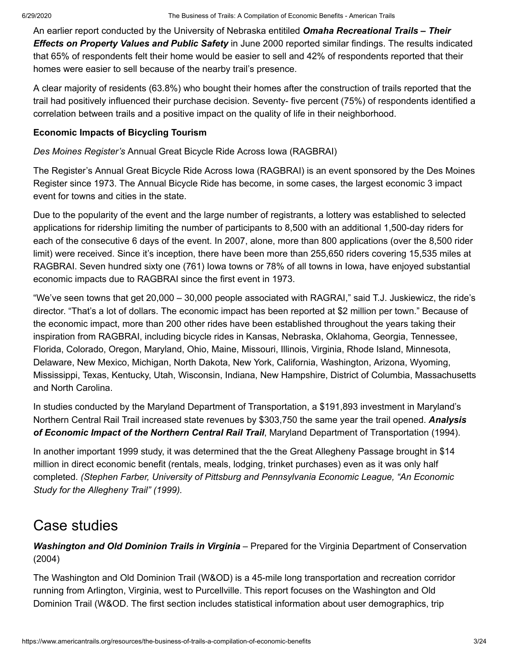An earlier report conducted by the University of Nebraska entitiled *Omaha Recreational Trails – Their Effects on Property Values and Public Safety* in June 2000 reported similar findings. The results indicated that 65% of respondents felt their home would be easier to sell and 42% of respondents reported that their homes were easier to sell because of the nearby trail's presence.

A clear majority of residents (63.8%) who bought their homes after the construction of trails reported that the trail had positively influenced their purchase decision. Seventy- five percent (75%) of respondents identified a correlation between trails and a positive impact on the quality of life in their neighborhood.

#### **Economic Impacts of Bicycling Tourism**

*Des Moines Register's* Annual Great Bicycle Ride Across Iowa (RAGBRAI)

The Register's Annual Great Bicycle Ride Across Iowa (RAGBRAI) is an event sponsored by the Des Moines Register since 1973. The Annual Bicycle Ride has become, in some cases, the largest economic 3 impact event for towns and cities in the state.

Due to the popularity of the event and the large number of registrants, a lottery was established to selected applications for ridership limiting the number of participants to 8,500 with an additional 1,500-day riders for each of the consecutive 6 days of the event. In 2007, alone, more than 800 applications (over the 8,500 rider limit) were received. Since it's inception, there have been more than 255,650 riders covering 15,535 miles at RAGBRAI. Seven hundred sixty one (761) Iowa towns or 78% of all towns in Iowa, have enjoyed substantial economic impacts due to RAGBRAI since the first event in 1973.

"We've seen towns that get 20,000 – 30,000 people associated with RAGRAI," said T.J. Juskiewicz, the ride's director. "That's a lot of dollars. The economic impact has been reported at \$2 million per town." Because of the economic impact, more than 200 other rides have been established throughout the years taking their inspiration from RAGBRAI, including bicycle rides in Kansas, Nebraska, Oklahoma, Georgia, Tennessee, Florida, Colorado, Oregon, Maryland, Ohio, Maine, Missouri, Illinois, Virginia, Rhode Island, Minnesota, Delaware, New Mexico, Michigan, North Dakota, New York, California, Washington, Arizona, Wyoming, Mississippi, Texas, Kentucky, Utah, Wisconsin, Indiana, New Hampshire, District of Columbia, Massachusetts and North Carolina.

In studies conducted by the Maryland Department of Transportation, a \$191,893 investment in Maryland's Northern Central Rail Trail increased state revenues by \$303,750 the same year the trail opened. *Analysis of Economic Impact of the Northern Central Rail Trail*, Maryland Department of Transportation (1994).

In another important 1999 study, it was determined that the the Great Allegheny Passage brought in \$14 million in direct economic benefit (rentals, meals, lodging, trinket purchases) even as it was only half completed. *(Stephen Farber, University of Pittsburg and Pennsylvania Economic League, "An Economic Study for the Allegheny Trail" (1999).*

## Case studies

*Washington and Old Dominion Trails in Virginia* – Prepared for the Virginia Department of Conservation (2004)

The Washington and Old Dominion Trail (W&OD) is a 45-mile long transportation and recreation corridor running from Arlington, Virginia, west to Purcellville. This report focuses on the Washington and Old Dominion Trail (W&OD. The first section includes statistical information about user demographics, trip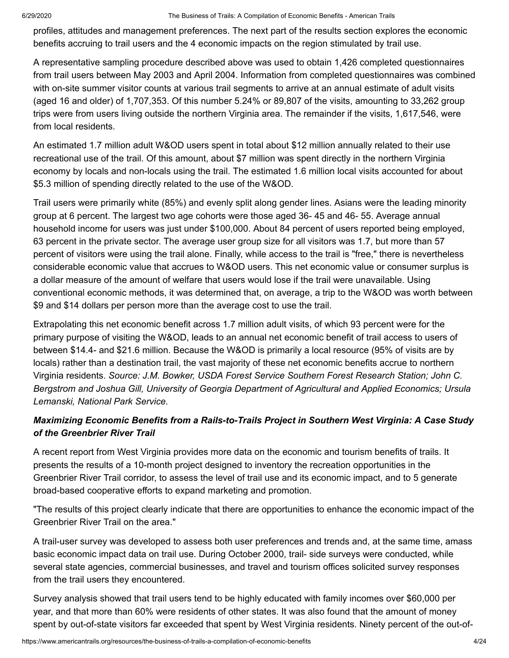profiles, attitudes and management preferences. The next part of the results section explores the economic benefits accruing to trail users and the 4 economic impacts on the region stimulated by trail use.

A representative sampling procedure described above was used to obtain 1,426 completed questionnaires from trail users between May 2003 and April 2004. Information from completed questionnaires was combined with on-site summer visitor counts at various trail segments to arrive at an annual estimate of adult visits (aged 16 and older) of 1,707,353. Of this number 5.24% or 89,807 of the visits, amounting to 33,262 group trips were from users living outside the northern Virginia area. The remainder if the visits, 1,617,546, were from local residents.

An estimated 1.7 million adult W&OD users spent in total about \$12 million annually related to their use recreational use of the trail. Of this amount, about \$7 million was spent directly in the northern Virginia economy by locals and non-locals using the trail. The estimated 1.6 million local visits accounted for about \$5.3 million of spending directly related to the use of the W&OD.

Trail users were primarily white (85%) and evenly split along gender lines. Asians were the leading minority group at 6 percent. The largest two age cohorts were those aged 36- 45 and 46- 55. Average annual household income for users was just under \$100,000. About 84 percent of users reported being employed, 63 percent in the private sector. The average user group size for all visitors was 1.7, but more than 57 percent of visitors were using the trail alone. Finally, while access to the trail is "free," there is nevertheless considerable economic value that accrues to W&OD users. This net economic value or consumer surplus is a dollar measure of the amount of welfare that users would lose if the trail were unavailable. Using conventional economic methods, it was determined that, on average, a trip to the W&OD was worth between \$9 and \$14 dollars per person more than the average cost to use the trail.

Extrapolating this net economic benefit across 1.7 million adult visits, of which 93 percent were for the primary purpose of visiting the W&OD, leads to an annual net economic benefit of trail access to users of between \$14.4- and \$21.6 million. Because the W&OD is primarily a local resource (95% of visits are by locals) rather than a destination trail, the vast majority of these net economic benefits accrue to northern Virginia residents. *Source: J.M. Bowker, USDA Forest Service Southern Forest Research Station; John C. Bergstrom and Joshua Gill, University of Georgia Department of Agricultural and Applied Economics; Ursula Lemanski, National Park Service.*

#### *Maximizing Economic Benefits from a Rails-to-Trails Project in Southern West Virginia: A Case Study of the Greenbrier River Trail*

A recent report from West Virginia provides more data on the economic and tourism benefits of trails. It presents the results of a 10-month project designed to inventory the recreation opportunities in the Greenbrier River Trail corridor, to assess the level of trail use and its economic impact, and to 5 generate broad-based cooperative efforts to expand marketing and promotion.

"The results of this project clearly indicate that there are opportunities to enhance the economic impact of the Greenbrier River Trail on the area."

A trail-user survey was developed to assess both user preferences and trends and, at the same time, amass basic economic impact data on trail use. During October 2000, trail- side surveys were conducted, while several state agencies, commercial businesses, and travel and tourism offices solicited survey responses from the trail users they encountered.

Survey analysis showed that trail users tend to be highly educated with family incomes over \$60,000 per year, and that more than 60% were residents of other states. It was also found that the amount of money spent by out-of-state visitors far exceeded that spent by West Virginia residents. Ninety percent of the out-of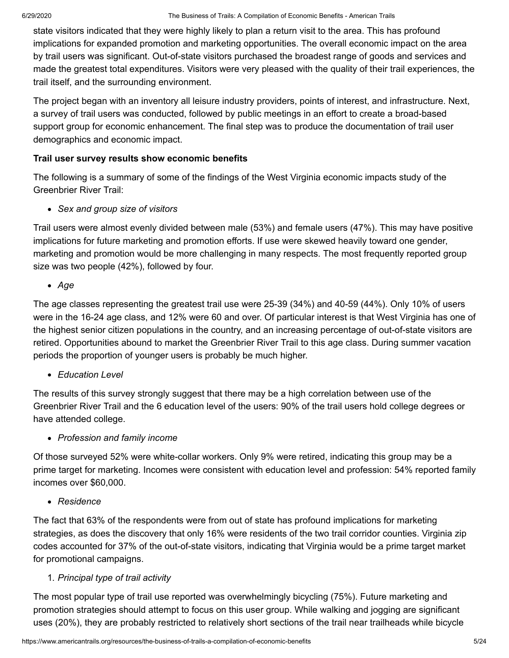state visitors indicated that they were highly likely to plan a return visit to the area. This has profound implications for expanded promotion and marketing opportunities. The overall economic impact on the area by trail users was significant. Out-of-state visitors purchased the broadest range of goods and services and made the greatest total expenditures. Visitors were very pleased with the quality of their trail experiences, the trail itself, and the surrounding environment.

The project began with an inventory all leisure industry providers, points of interest, and infrastructure. Next, a survey of trail users was conducted, followed by public meetings in an effort to create a broad-based support group for economic enhancement. The final step was to produce the documentation of trail user demographics and economic impact.

#### **Trail user survey results show economic benefits**

The following is a summary of some of the findings of the West Virginia economic impacts study of the Greenbrier River Trail:

*Sex and group size of visitors*

Trail users were almost evenly divided between male (53%) and female users (47%). This may have positive implications for future marketing and promotion efforts. If use were skewed heavily toward one gender, marketing and promotion would be more challenging in many respects. The most frequently reported group size was two people (42%), followed by four.

#### *Age*

The age classes representing the greatest trail use were 25-39 (34%) and 40-59 (44%). Only 10% of users were in the 16-24 age class, and 12% were 60 and over. Of particular interest is that West Virginia has one of the highest senior citizen populations in the country, and an increasing percentage of out-of-state visitors are retired. Opportunities abound to market the Greenbrier River Trail to this age class. During summer vacation periods the proportion of younger users is probably be much higher.

*Education Level*

The results of this survey strongly suggest that there may be a high correlation between use of the Greenbrier River Trail and the 6 education level of the users: 90% of the trail users hold college degrees or have attended college.

*Profession and family income*

Of those surveyed 52% were white-collar workers. Only 9% were retired, indicating this group may be a prime target for marketing. Incomes were consistent with education level and profession: 54% reported family incomes over \$60,000.

*Residence*

The fact that 63% of the respondents were from out of state has profound implications for marketing strategies, as does the discovery that only 16% were residents of the two trail corridor counties. Virginia zip codes accounted for 37% of the out-of-state visitors, indicating that Virginia would be a prime target market for promotional campaigns.

#### 1. *Principal type of trail activity*

The most popular type of trail use reported was overwhelmingly bicycling (75%). Future marketing and promotion strategies should attempt to focus on this user group. While walking and jogging are significant uses (20%), they are probably restricted to relatively short sections of the trail near trailheads while bicycle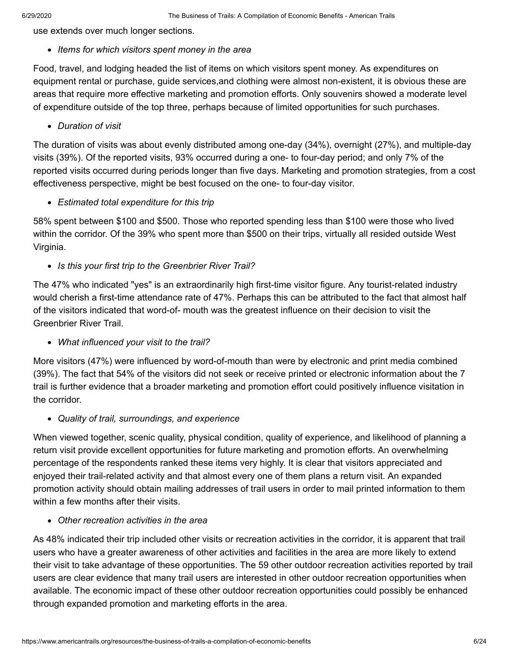use extends over much longer sections.

*Items for which visitors spent money in the area*

Food, travel, and lodging headed the list of items on which visitors spent money. As expenditures on equipment rental or purchase, guide services,and clothing were almost non-existent, it is obvious these are areas that require more effective marketing and promotion efforts. Only souvenirs showed a moderate level of expenditure outside of the top three, perhaps because of limited opportunities for such purchases.

*Duration of visit*

The duration of visits was about evenly distributed among one-day (34%), overnight (27%), and multiple-day visits (39%). Of the reported visits, 93% occurred during a one- to four-day period; and only 7% of the reported visits occurred during periods longer than five days. Marketing and promotion strategies, from a cost effectiveness perspective, might be best focused on the one- to four-day visitor.

*Estimated total expenditure for this trip*

58% spent between \$100 and \$500. Those who reported spending less than \$100 were those who lived within the corridor. Of the 39% who spent more than \$500 on their trips, virtually all resided outside West Virginia.

*Is this your first trip to the Greenbrier River Trail?*

The 47% who indicated "yes" is an extraordinarily high first-time visitor figure. Any tourist-related industry would cherish a first-time attendance rate of 47%. Perhaps this can be attributed to the fact that almost half of the visitors indicated that word-of- mouth was the greatest influence on their decision to visit the Greenbrier River Trail.

*What influenced your visit to the trail?*

More visitors (47%) were influenced by word-of-mouth than were by electronic and print media combined (39%). The fact that 54% of the visitors did not seek or receive printed or electronic information about the 7 trail is further evidence that a broader marketing and promotion effort could positively influence visitation in the corridor.

*Quality of trail, surroundings, and experience*

When viewed together, scenic quality, physical condition, quality of experience, and likelihood of planning a return visit provide excellent opportunities for future marketing and promotion efforts. An overwhelming percentage of the respondents ranked these items very highly. It is clear that visitors appreciated and enjoyed their trail-related activity and that almost every one of them plans a return visit. An expanded promotion activity should obtain mailing addresses of trail users in order to mail printed information to them within a few months after their visits.

#### *Other recreation activities in the area*

As 48% indicated their trip included other visits or recreation activities in the corridor, it is apparent that trail users who have a greater awareness of other activities and facilities in the area are more likely to extend their visit to take advantage of these opportunities. The 59 other outdoor recreation activities reported by trail users are clear evidence that many trail users are interested in other outdoor recreation opportunities when available. The economic impact of these other outdoor recreation opportunities could possibly be enhanced through expanded promotion and marketing efforts in the area.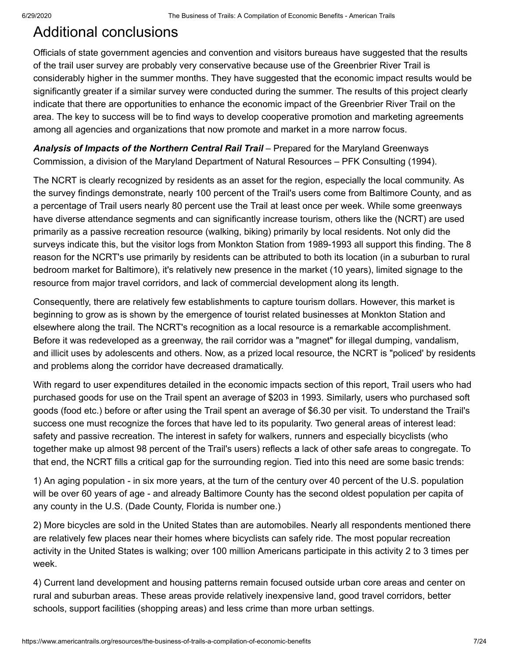## Additional conclusions

Officials of state government agencies and convention and visitors bureaus have suggested that the results of the trail user survey are probably very conservative because use of the Greenbrier River Trail is considerably higher in the summer months. They have suggested that the economic impact results would be significantly greater if a similar survey were conducted during the summer. The results of this project clearly indicate that there are opportunities to enhance the economic impact of the Greenbrier River Trail on the area. The key to success will be to find ways to develop cooperative promotion and marketing agreements among all agencies and organizations that now promote and market in a more narrow focus.

Analysis of Impacts of the Northern Central Rail Trail – Prepared for the Maryland Greenways Commission, a division of the Maryland Department of Natural Resources – PFK Consulting (1994).

The NCRT is clearly recognized by residents as an asset for the region, especially the local community. As the survey findings demonstrate, nearly 100 percent of the Trail's users come from Baltimore County, and as a percentage of Trail users nearly 80 percent use the Trail at least once per week. While some greenways have diverse attendance segments and can significantly increase tourism, others like the (NCRT) are used primarily as a passive recreation resource (walking, biking) primarily by local residents. Not only did the surveys indicate this, but the visitor logs from Monkton Station from 1989-1993 all support this finding. The 8 reason for the NCRT's use primarily by residents can be attributed to both its location (in a suburban to rural bedroom market for Baltimore), it's relatively new presence in the market (10 years), limited signage to the resource from major travel corridors, and lack of commercial development along its length.

Consequently, there are relatively few establishments to capture tourism dollars. However, this market is beginning to grow as is shown by the emergence of tourist related businesses at Monkton Station and elsewhere along the trail. The NCRT's recognition as a local resource is a remarkable accomplishment. Before it was redeveloped as a greenway, the rail corridor was a "magnet" for illegal dumping, vandalism, and illicit uses by adolescents and others. Now, as a prized local resource, the NCRT is "policed' by residents and problems along the corridor have decreased dramatically.

With regard to user expenditures detailed in the economic impacts section of this report, Trail users who had purchased goods for use on the Trail spent an average of \$203 in 1993. Similarly, users who purchased soft goods (food etc.) before or after using the Trail spent an average of \$6.30 per visit. To understand the Trail's success one must recognize the forces that have led to its popularity. Two general areas of interest lead: safety and passive recreation. The interest in safety for walkers, runners and especially bicyclists (who together make up almost 98 percent of the Trail's users) reflects a lack of other safe areas to congregate. To that end, the NCRT fills a critical gap for the surrounding region. Tied into this need are some basic trends:

1) An aging population - in six more years, at the turn of the century over 40 percent of the U.S. population will be over 60 years of age - and already Baltimore County has the second oldest population per capita of any county in the U.S. (Dade County, Florida is number one.)

2) More bicycles are sold in the United States than are automobiles. Nearly all respondents mentioned there are relatively few places near their homes where bicyclists can safely ride. The most popular recreation activity in the United States is walking; over 100 million Americans participate in this activity 2 to 3 times per week.

4) Current land development and housing patterns remain focused outside urban core areas and center on rural and suburban areas. These areas provide relatively inexpensive land, good travel corridors, better schools, support facilities (shopping areas) and less crime than more urban settings.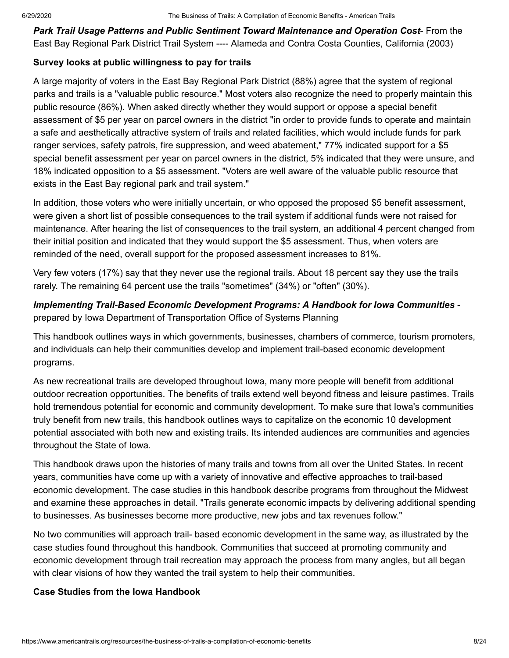*Park Trail Usage Patterns and Public Sentiment Toward Maintenance and Operation Cost*- From the East Bay Regional Park District Trail System ---- Alameda and Contra Costa Counties, California (2003)

#### **Survey looks at public willingness to pay for trails**

A large majority of voters in the East Bay Regional Park District (88%) agree that the system of regional parks and trails is a "valuable public resource." Most voters also recognize the need to properly maintain this public resource (86%). When asked directly whether they would support or oppose a special benefit assessment of \$5 per year on parcel owners in the district "in order to provide funds to operate and maintain a safe and aesthetically attractive system of trails and related facilities, which would include funds for park ranger services, safety patrols, fire suppression, and weed abatement," 77% indicated support for a \$5 special benefit assessment per year on parcel owners in the district, 5% indicated that they were unsure, and 18% indicated opposition to a \$5 assessment. "Voters are well aware of the valuable public resource that exists in the East Bay regional park and trail system."

In addition, those voters who were initially uncertain, or who opposed the proposed \$5 benefit assessment, were given a short list of possible consequences to the trail system if additional funds were not raised for maintenance. After hearing the list of consequences to the trail system, an additional 4 percent changed from their initial position and indicated that they would support the \$5 assessment. Thus, when voters are reminded of the need, overall support for the proposed assessment increases to 81%.

Very few voters (17%) say that they never use the regional trails. About 18 percent say they use the trails rarely. The remaining 64 percent use the trails "sometimes" (34%) or "often" (30%).

#### *Implementing Trail-Based Economic Development Programs: A Handbook for Iowa Communities*  prepared by Iowa Department of Transportation Office of Systems Planning

This handbook outlines ways in which governments, businesses, chambers of commerce, tourism promoters, and individuals can help their communities develop and implement trail-based economic development programs.

As new recreational trails are developed throughout Iowa, many more people will benefit from additional outdoor recreation opportunities. The benefits of trails extend well beyond fitness and leisure pastimes. Trails hold tremendous potential for economic and community development. To make sure that Iowa's communities truly benefit from new trails, this handbook outlines ways to capitalize on the economic 10 development potential associated with both new and existing trails. Its intended audiences are communities and agencies throughout the State of Iowa.

This handbook draws upon the histories of many trails and towns from all over the United States. In recent years, communities have come up with a variety of innovative and effective approaches to trail-based economic development. The case studies in this handbook describe programs from throughout the Midwest and examine these approaches in detail. "Trails generate economic impacts by delivering additional spending to businesses. As businesses become more productive, new jobs and tax revenues follow."

No two communities will approach trail- based economic development in the same way, as illustrated by the case studies found throughout this handbook. Communities that succeed at promoting community and economic development through trail recreation may approach the process from many angles, but all began with clear visions of how they wanted the trail system to help their communities.

#### **Case Studies from the Iowa Handbook**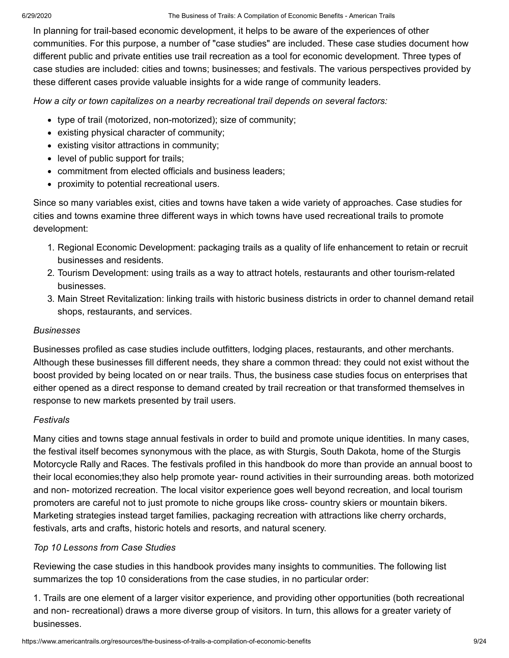In planning for trail-based economic development, it helps to be aware of the experiences of other communities. For this purpose, a number of "case studies" are included. These case studies document how different public and private entities use trail recreation as a tool for economic development. Three types of case studies are included: cities and towns; businesses; and festivals. The various perspectives provided by these different cases provide valuable insights for a wide range of community leaders.

*How a city or town capitalizes on a nearby recreational trail depends on several factors:*

- type of trail (motorized, non-motorized); size of community;
- existing physical character of community;
- existing visitor attractions in community;
- level of public support for trails;
- commitment from elected officials and business leaders:
- proximity to potential recreational users.

Since so many variables exist, cities and towns have taken a wide variety of approaches. Case studies for cities and towns examine three different ways in which towns have used recreational trails to promote development:

- 1. Regional Economic Development: packaging trails as a quality of life enhancement to retain or recruit businesses and residents.
- 2. Tourism Development: using trails as a way to attract hotels, restaurants and other tourism-related businesses.
- 3. Main Street Revitalization: linking trails with historic business districts in order to channel demand retail shops, restaurants, and services.

#### *Businesses*

Businesses profiled as case studies include outfitters, lodging places, restaurants, and other merchants. Although these businesses fill different needs, they share a common thread: they could not exist without the boost provided by being located on or near trails. Thus, the business case studies focus on enterprises that either opened as a direct response to demand created by trail recreation or that transformed themselves in response to new markets presented by trail users.

#### *Festivals*

Many cities and towns stage annual festivals in order to build and promote unique identities. In many cases, the festival itself becomes synonymous with the place, as with Sturgis, South Dakota, home of the Sturgis Motorcycle Rally and Races. The festivals profiled in this handbook do more than provide an annual boost to their local economies;they also help promote year- round activities in their surrounding areas. both motorized and non- motorized recreation. The local visitor experience goes well beyond recreation, and local tourism promoters are careful not to just promote to niche groups like cross- country skiers or mountain bikers. Marketing strategies instead target families, packaging recreation with attractions like cherry orchards, festivals, arts and crafts, historic hotels and resorts, and natural scenery.

#### *Top 10 Lessons from Case Studies*

Reviewing the case studies in this handbook provides many insights to communities. The following list summarizes the top 10 considerations from the case studies, in no particular order:

1. Trails are one element of a larger visitor experience, and providing other opportunities (both recreational and non- recreational) draws a more diverse group of visitors. In turn, this allows for a greater variety of businesses.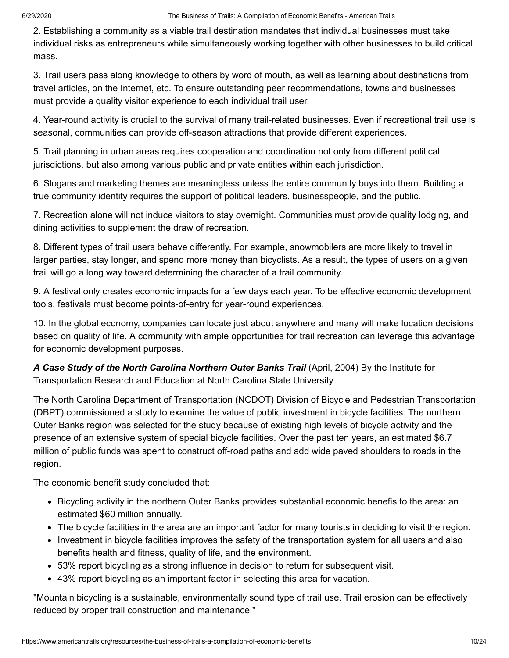2. Establishing a community as a viable trail destination mandates that individual businesses must take individual risks as entrepreneurs while simultaneously working together with other businesses to build critical mass.

3. Trail users pass along knowledge to others by word of mouth, as well as learning about destinations from travel articles, on the Internet, etc. To ensure outstanding peer recommendations, towns and businesses must provide a quality visitor experience to each individual trail user.

4. Year-round activity is crucial to the survival of many trail-related businesses. Even if recreational trail use is seasonal, communities can provide off-season attractions that provide different experiences.

5. Trail planning in urban areas requires cooperation and coordination not only from different political jurisdictions, but also among various public and private entities within each jurisdiction.

6. Slogans and marketing themes are meaningless unless the entire community buys into them. Building a true community identity requires the support of political leaders, businesspeople, and the public.

7. Recreation alone will not induce visitors to stay overnight. Communities must provide quality lodging, and dining activities to supplement the draw of recreation.

8. Different types of trail users behave differently. For example, snowmobilers are more likely to travel in larger parties, stay longer, and spend more money than bicyclists. As a result, the types of users on a given trail will go a long way toward determining the character of a trail community.

9. A festival only creates economic impacts for a few days each year. To be effective economic development tools, festivals must become points-of-entry for year-round experiences.

10. In the global economy, companies can locate just about anywhere and many will make location decisions based on quality of life. A community with ample opportunities for trail recreation can leverage this advantage for economic development purposes.

A Case Study of the North Carolina Northern Outer Banks Trail (April, 2004) By the Institute for Transportation Research and Education at North Carolina State University

The North Carolina Department of Transportation (NCDOT) Division of Bicycle and Pedestrian Transportation (DBPT) commissioned a study to examine the value of public investment in bicycle facilities. The northern Outer Banks region was selected for the study because of existing high levels of bicycle activity and the presence of an extensive system of special bicycle facilities. Over the past ten years, an estimated \$6.7 million of public funds was spent to construct off-road paths and add wide paved shoulders to roads in the region.

The economic benefit study concluded that:

- Bicycling activity in the northern Outer Banks provides substantial economic benefis to the area: an estimated \$60 million annually.
- The bicycle facilities in the area are an important factor for many tourists in deciding to visit the region.
- Investment in bicycle facilities improves the safety of the transportation system for all users and also benefits health and fitness, quality of life, and the environment.
- 53% report bicycling as a strong influence in decision to return for subsequent visit.
- 43% report bicycling as an important factor in selecting this area for vacation.

"Mountain bicycling is a sustainable, environmentally sound type of trail use. Trail erosion can be effectively reduced by proper trail construction and maintenance."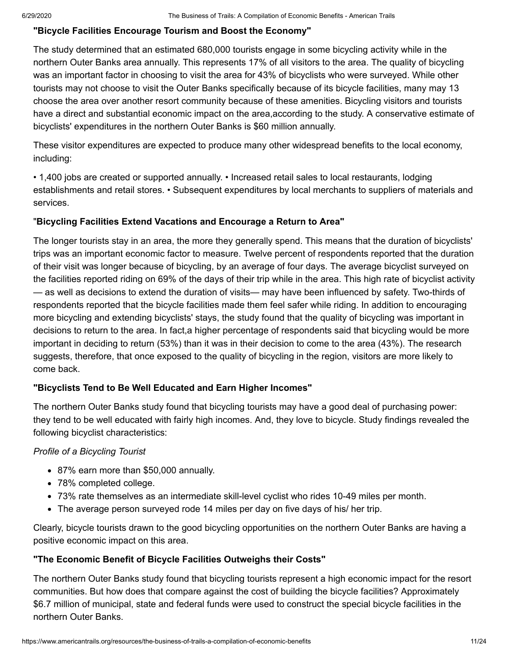#### **"Bicycle Facilities Encourage Tourism and Boost the Economy"**

The study determined that an estimated 680,000 tourists engage in some bicycling activity while in the northern Outer Banks area annually. This represents 17% of all visitors to the area. The quality of bicycling was an important factor in choosing to visit the area for 43% of bicyclists who were surveyed. While other tourists may not choose to visit the Outer Banks specifically because of its bicycle facilities, many may 13 choose the area over another resort community because of these amenities. Bicycling visitors and tourists have a direct and substantial economic impact on the area,according to the study. A conservative estimate of bicyclists' expenditures in the northern Outer Banks is \$60 million annually.

These visitor expenditures are expected to produce many other widespread benefits to the local economy, including:

• 1,400 jobs are created or supported annually. • Increased retail sales to local restaurants, lodging establishments and retail stores. • Subsequent expenditures by local merchants to suppliers of materials and services.

#### "**Bicycling Facilities Extend Vacations and Encourage a Return to Area"**

The longer tourists stay in an area, the more they generally spend. This means that the duration of bicyclists' trips was an important economic factor to measure. Twelve percent of respondents reported that the duration of their visit was longer because of bicycling, by an average of four days. The average bicyclist surveyed on the facilities reported riding on 69% of the days of their trip while in the area. This high rate of bicyclist activity — as well as decisions to extend the duration of visits— may have been influenced by safety. Two-thirds of respondents reported that the bicycle facilities made them feel safer while riding. In addition to encouraging more bicycling and extending bicyclists' stays, the study found that the quality of bicycling was important in decisions to return to the area. In fact,a higher percentage of respondents said that bicycling would be more important in deciding to return (53%) than it was in their decision to come to the area (43%). The research suggests, therefore, that once exposed to the quality of bicycling in the region, visitors are more likely to come back.

#### **"Bicyclists Tend to Be Well Educated and Earn Higher Incomes"**

The northern Outer Banks study found that bicycling tourists may have a good deal of purchasing power: they tend to be well educated with fairly high incomes. And, they love to bicycle. Study findings revealed the following bicyclist characteristics:

#### *Profile of a Bicycling Tourist*

- 87% earn more than \$50,000 annually.
- 78% completed college.
- 73% rate themselves as an intermediate skill-level cyclist who rides 10-49 miles per month.
- The average person surveyed rode 14 miles per day on five days of his/ her trip.

Clearly, bicycle tourists drawn to the good bicycling opportunities on the northern Outer Banks are having a positive economic impact on this area.

#### **"The Economic Benefit of Bicycle Facilities Outweighs their Costs"**

The northern Outer Banks study found that bicycling tourists represent a high economic impact for the resort communities. But how does that compare against the cost of building the bicycle facilities? Approximately \$6.7 million of municipal, state and federal funds were used to construct the special bicycle facilities in the northern Outer Banks.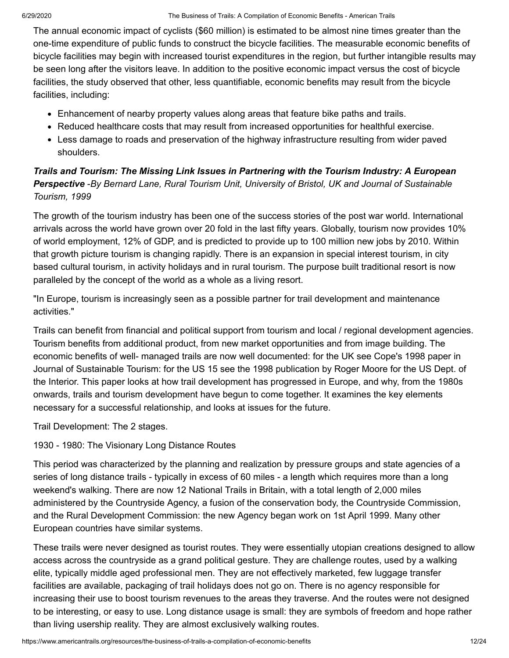The annual economic impact of cyclists (\$60 million) is estimated to be almost nine times greater than the one-time expenditure of public funds to construct the bicycle facilities. The measurable economic benefits of bicycle facilities may begin with increased tourist expenditures in the region, but further intangible results may be seen long after the visitors leave. In addition to the positive economic impact versus the cost of bicycle facilities, the study observed that other, less quantifiable, economic benefits may result from the bicycle facilities, including:

- Enhancement of nearby property values along areas that feature bike paths and trails.
- Reduced healthcare costs that may result from increased opportunities for healthful exercise.
- Less damage to roads and preservation of the highway infrastructure resulting from wider paved shoulders.

#### *Trails and Tourism: The Missing Link Issues in Partnering with the Tourism Industry: A European Perspective* -*By Bernard Lane, Rural Tourism Unit, University of Bristol, UK and Journal of Sustainable Tourism, 1999*

The growth of the tourism industry has been one of the success stories of the post war world. International arrivals across the world have grown over 20 fold in the last fifty years. Globally, tourism now provides 10% of world employment, 12% of GDP, and is predicted to provide up to 100 million new jobs by 2010. Within that growth picture tourism is changing rapidly. There is an expansion in special interest tourism, in city based cultural tourism, in activity holidays and in rural tourism. The purpose built traditional resort is now paralleled by the concept of the world as a whole as a living resort.

"In Europe, tourism is increasingly seen as a possible partner for trail development and maintenance activities."

Trails can benefit from financial and political support from tourism and local / regional development agencies. Tourism benefits from additional product, from new market opportunities and from image building. The economic benefits of well- managed trails are now well documented: for the UK see Cope's 1998 paper in Journal of Sustainable Tourism: for the US 15 see the 1998 publication by Roger Moore for the US Dept. of the Interior. This paper looks at how trail development has progressed in Europe, and why, from the 1980s onwards, trails and tourism development have begun to come together. It examines the key elements necessary for a successful relationship, and looks at issues for the future.

Trail Development: The 2 stages.

1930 - 1980: The Visionary Long Distance Routes

This period was characterized by the planning and realization by pressure groups and state agencies of a series of long distance trails - typically in excess of 60 miles - a length which requires more than a long weekend's walking. There are now 12 National Trails in Britain, with a total length of 2,000 miles administered by the Countryside Agency, a fusion of the conservation body, the Countryside Commission, and the Rural Development Commission: the new Agency began work on 1st April 1999. Many other European countries have similar systems.

These trails were never designed as tourist routes. They were essentially utopian creations designed to allow access across the countryside as a grand political gesture. They are challenge routes, used by a walking elite, typically middle aged professional men. They are not effectively marketed, few luggage transfer facilities are available, packaging of trail holidays does not go on. There is no agency responsible for increasing their use to boost tourism revenues to the areas they traverse. And the routes were not designed to be interesting, or easy to use. Long distance usage is small: they are symbols of freedom and hope rather than living usership reality. They are almost exclusively walking routes.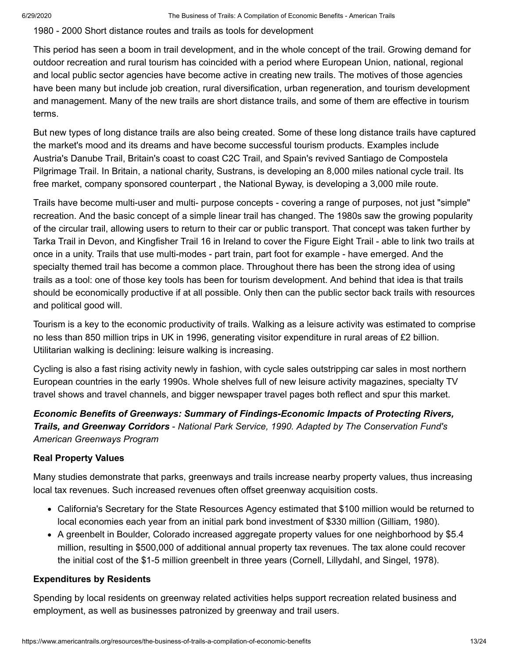1980 - 2000 Short distance routes and trails as tools for development

This period has seen a boom in trail development, and in the whole concept of the trail. Growing demand for outdoor recreation and rural tourism has coincided with a period where European Union, national, regional and local public sector agencies have become active in creating new trails. The motives of those agencies have been many but include job creation, rural diversification, urban regeneration, and tourism development and management. Many of the new trails are short distance trails, and some of them are effective in tourism terms.

But new types of long distance trails are also being created. Some of these long distance trails have captured the market's mood and its dreams and have become successful tourism products. Examples include Austria's Danube Trail, Britain's coast to coast C2C Trail, and Spain's revived Santiago de Compostela Pilgrimage Trail. In Britain, a national charity, Sustrans, is developing an 8,000 miles national cycle trail. Its free market, company sponsored counterpart , the National Byway, is developing a 3,000 mile route.

Trails have become multi-user and multi- purpose concepts - covering a range of purposes, not just "simple" recreation. And the basic concept of a simple linear trail has changed. The 1980s saw the growing popularity of the circular trail, allowing users to return to their car or public transport. That concept was taken further by Tarka Trail in Devon, and Kingfisher Trail 16 in Ireland to cover the Figure Eight Trail - able to link two trails at once in a unity. Trails that use multi-modes - part train, part foot for example - have emerged. And the specialty themed trail has become a common place. Throughout there has been the strong idea of using trails as a tool: one of those key tools has been for tourism development. And behind that idea is that trails should be economically productive if at all possible. Only then can the public sector back trails with resources and political good will.

Tourism is a key to the economic productivity of trails. Walking as a leisure activity was estimated to comprise no less than 850 million trips in UK in 1996, generating visitor expenditure in rural areas of £2 billion. Utilitarian walking is declining: leisure walking is increasing.

Cycling is also a fast rising activity newly in fashion, with cycle sales outstripping car sales in most northern European countries in the early 1990s. Whole shelves full of new leisure activity magazines, specialty TV travel shows and travel channels, and bigger newspaper travel pages both reflect and spur this market.

*Economic Benefits of Greenways: Summary of Findings-Economic Impacts of Protecting Rivers, Trails, and Greenway Corridors* - *National Park Service, 1990. Adapted by The Conservation Fund's American Greenways Program*

#### **Real Property Values**

Many studies demonstrate that parks, greenways and trails increase nearby property values, thus increasing local tax revenues. Such increased revenues often offset greenway acquisition costs.

- California's Secretary for the State Resources Agency estimated that \$100 million would be returned to local economies each year from an initial park bond investment of \$330 million (Gilliam, 1980).
- A greenbelt in Boulder, Colorado increased aggregate property values for one neighborhood by \$5.4 million, resulting in \$500,000 of additional annual property tax revenues. The tax alone could recover the initial cost of the \$1-5 million greenbelt in three years (Cornell, Lillydahl, and Singel, 1978).

#### **Expenditures by Residents**

Spending by local residents on greenway related activities helps support recreation related business and employment, as well as businesses patronized by greenway and trail users.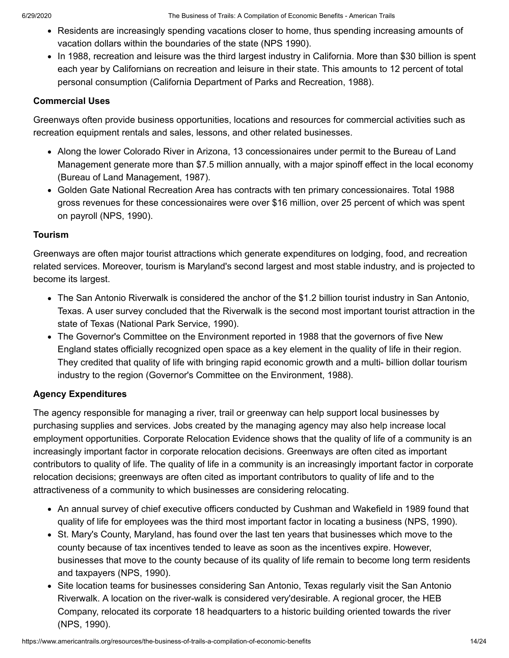- Residents are increasingly spending vacations closer to home, thus spending increasing amounts of vacation dollars within the boundaries of the state (NPS 1990).
- In 1988, recreation and leisure was the third largest industry in California. More than \$30 billion is spent each year by Californians on recreation and leisure in their state. This amounts to 12 percent of total personal consumption (California Department of Parks and Recreation, 1988).

#### **Commercial Uses**

Greenways often provide business opportunities, locations and resources for commercial activities such as recreation equipment rentals and sales, lessons, and other related businesses.

- Along the lower Colorado River in Arizona, 13 concessionaires under permit to the Bureau of Land Management generate more than \$7.5 million annually, with a major spinoff effect in the local economy (Bureau of Land Management, 1987).
- Golden Gate National Recreation Area has contracts with ten primary concessionaires. Total 1988 gross revenues for these concessionaires were over \$16 million, over 25 percent of which was spent on payroll (NPS, 1990).

#### **Tourism**

Greenways are often major tourist attractions which generate expenditures on lodging, food, and recreation related services. Moreover, tourism is Maryland's second largest and most stable industry, and is projected to become its largest.

- The San Antonio Riverwalk is considered the anchor of the \$1.2 billion tourist industry in San Antonio, Texas. A user survey concluded that the Riverwalk is the second most important tourist attraction in the state of Texas (National Park Service, 1990).
- The Governor's Committee on the Environment reported in 1988 that the governors of five New England states officially recognized open space as a key element in the quality of life in their region. They credited that quality of life with bringing rapid economic growth and a multi- billion dollar tourism industry to the region (Governor's Committee on the Environment, 1988).

#### **Agency Expenditures**

The agency responsible for managing a river, trail or greenway can help support local businesses by purchasing supplies and services. Jobs created by the managing agency may also help increase local employment opportunities. Corporate Relocation Evidence shows that the quality of life of a community is an increasingly important factor in corporate relocation decisions. Greenways are often cited as important contributors to quality of life. The quality of life in a community is an increasingly important factor in corporate relocation decisions; greenways are often cited as important contributors to quality of life and to the attractiveness of a community to which businesses are considering relocating.

- An annual survey of chief executive officers conducted by Cushman and Wakefield in 1989 found that quality of life for employees was the third most important factor in locating a business (NPS, 1990).
- St. Mary's County, Maryland, has found over the last ten years that businesses which move to the county because of tax incentives tended to leave as soon as the incentives expire. However, businesses that move to the county because of its quality of life remain to become long term residents and taxpayers (NPS, 1990).
- Site location teams for businesses considering San Antonio, Texas regularly visit the San Antonio Riverwalk. A location on the river-walk is considered very'desirable. A regional grocer, the HEB Company, relocated its corporate 18 headquarters to a historic building oriented towards the river (NPS, 1990).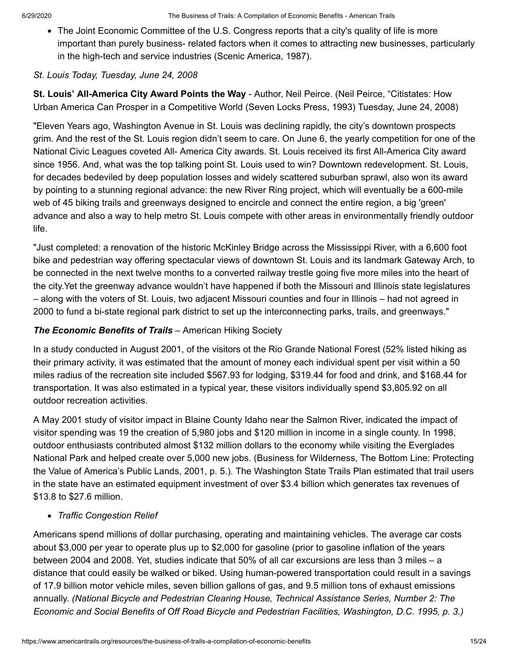• The Joint Economic Committee of the U.S. Congress reports that a city's quality of life is more important than purely business- related factors when it comes to attracting new businesses, particularly in the high-tech and service industries (Scenic America, 1987).

#### *St. Louis Today, Tuesday, June 24, 2008*

**St. Louis' All-America City Award Points the Way** - Author, Neil Peirce. (Neil Peirce, "Citistates: How Urban America Can Prosper in a Competitive World (Seven Locks Press, 1993) Tuesday, June 24, 2008)

"Eleven Years ago, Washington Avenue in St. Louis was declining rapidly, the city's downtown prospects grim. And the rest of the St. Louis region didn't seem to care. On June 6, the yearly competition for one of the National Civic Leagues coveted All- America City awards. St. Louis received its first All-America City award since 1956. And, what was the top talking point St. Louis used to win? Downtown redevelopment. St. Louis, for decades bedeviled by deep population losses and widely scattered suburban sprawl, also won its award by pointing to a stunning regional advance: the new River Ring project, which will eventually be a 600-mile web of 45 biking trails and greenways designed to encircle and connect the entire region, a big 'green' advance and also a way to help metro St. Louis compete with other areas in environmentally friendly outdoor life.

"Just completed: a renovation of the historic McKinley Bridge across the Mississippi River, with a 6,600 foot bike and pedestrian way offering spectacular views of downtown St. Louis and its landmark Gateway Arch, to be connected in the next twelve months to a converted railway trestle going five more miles into the heart of the city.Yet the greenway advance wouldn't have happened if both the Missouri and Illinois state legislatures – along with the voters of St. Louis, two adjacent Missouri counties and four in Illinois – had not agreed in 2000 to fund a bi-state regional park district to set up the interconnecting parks, trails, and greenways."

#### *The Economic Benefits of Trails* – American Hiking Society

In a study conducted in August 2001, of the visitors ot the Rio Grande National Forest (52% listed hiking as their primary activity, it was estimated that the amount of money each individual spent per visit within a 50 miles radius of the recreation site included \$567.93 for lodging, \$319.44 for food and drink, and \$168.44 for transportation. It was also estimated in a typical year, these visitors individually spend \$3,805.92 on all outdoor recreation activities.

A May 2001 study of visitor impact in Blaine County Idaho near the Salmon River, indicated the impact of visitor spending was 19 the creation of 5,980 jobs and \$120 million in income in a single county. In 1998, outdoor enthusiasts contributed almost \$132 million dollars to the economy while visiting the Everglades National Park and helped create over 5,000 new jobs. (Business for Wilderness, The Bottom Line: Protecting the Value of America's Public Lands, 2001, p. 5.). The Washington State Trails Plan estimated that trail users in the state have an estimated equipment investment of over \$3.4 billion which generates tax revenues of \$13.8 to \$27.6 million.

#### *Traffic Congestion Relief*

Americans spend millions of dollar purchasing, operating and maintaining vehicles. The average car costs about \$3,000 per year to operate plus up to \$2,000 for gasoline (prior to gasoline inflation of the years between 2004 and 2008. Yet, studies indicate that 50% of all car excursions are less than 3 miles – a distance that could easily be walked or biked. Using human-powered transportation could result in a savings of 17.9 billion motor vehicle miles, seven billion gallons of gas, and 9.5 million tons of exhaust emissions annually. *(National Bicycle and Pedestrian Clearing House, Technical Assistance Series, Number 2: The Economic and Social Benefits of Off Road Bicycle and Pedestrian Facilities, Washington, D.C. 1995, p. 3.)*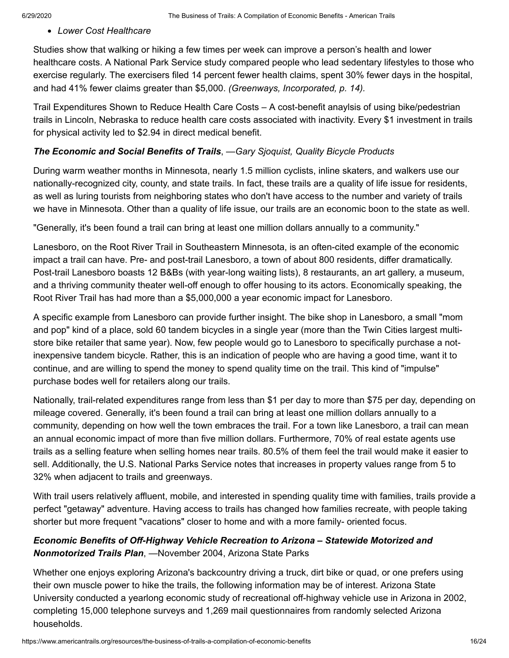*Lower Cost Healthcare*

Studies show that walking or hiking a few times per week can improve a person's health and lower healthcare costs. A National Park Service study compared people who lead sedentary lifestyles to those who exercise regularly. The exercisers filed 14 percent fewer health claims, spent 30% fewer days in the hospital, and had 41% fewer claims greater than \$5,000. *(Greenways, Incorporated, p. 14).*

Trail Expenditures Shown to Reduce Health Care Costs – A cost-benefit anaylsis of using bike/pedestrian trails in Lincoln, Nebraska to reduce health care costs associated with inactivity. Every \$1 investment in trails for physical activity led to \$2.94 in direct medical benefit.

#### *The Economic and Social Benefits of Trails*, *—Gary Sjoquist, Quality Bicycle Products*

During warm weather months in Minnesota, nearly 1.5 million cyclists, inline skaters, and walkers use our nationally-recognized city, county, and state trails. In fact, these trails are a quality of life issue for residents, as well as luring tourists from neighboring states who don't have access to the number and variety of trails we have in Minnesota. Other than a quality of life issue, our trails are an economic boon to the state as well.

"Generally, it's been found a trail can bring at least one million dollars annually to a community."

Lanesboro, on the Root River Trail in Southeastern Minnesota, is an often-cited example of the economic impact a trail can have. Pre- and post-trail Lanesboro, a town of about 800 residents, differ dramatically. Post-trail Lanesboro boasts 12 B&Bs (with year-long waiting lists), 8 restaurants, an art gallery, a museum, and a thriving community theater well-off enough to offer housing to its actors. Economically speaking, the Root River Trail has had more than a \$5,000,000 a year economic impact for Lanesboro.

A specific example from Lanesboro can provide further insight. The bike shop in Lanesboro, a small "mom and pop" kind of a place, sold 60 tandem bicycles in a single year (more than the Twin Cities largest multistore bike retailer that same year). Now, few people would go to Lanesboro to specifically purchase a notinexpensive tandem bicycle. Rather, this is an indication of people who are having a good time, want it to continue, and are willing to spend the money to spend quality time on the trail. This kind of "impulse" purchase bodes well for retailers along our trails.

Nationally, trail-related expenditures range from less than \$1 per day to more than \$75 per day, depending on mileage covered. Generally, it's been found a trail can bring at least one million dollars annually to a community, depending on how well the town embraces the trail. For a town like Lanesboro, a trail can mean an annual economic impact of more than five million dollars. Furthermore, 70% of real estate agents use trails as a selling feature when selling homes near trails. 80.5% of them feel the trail would make it easier to sell. Additionally, the U.S. National Parks Service notes that increases in property values range from 5 to 32% when adjacent to trails and greenways.

With trail users relatively affluent, mobile, and interested in spending quality time with families, trails provide a perfect "getaway" adventure. Having access to trails has changed how families recreate, with people taking shorter but more frequent "vacations" closer to home and with a more family- oriented focus.

#### *Economic Benefits of Off-Highway Vehicle Recreation to Arizona – Statewide Motorized and Nonmotorized Trails Plan*, *—*November 2004, Arizona State Parks

Whether one enjoys exploring Arizona's backcountry driving a truck, dirt bike or quad, or one prefers using their own muscle power to hike the trails, the following information may be of interest. Arizona State University conducted a yearlong economic study of recreational off-highway vehicle use in Arizona in 2002, completing 15,000 telephone surveys and 1,269 mail questionnaires from randomly selected Arizona households.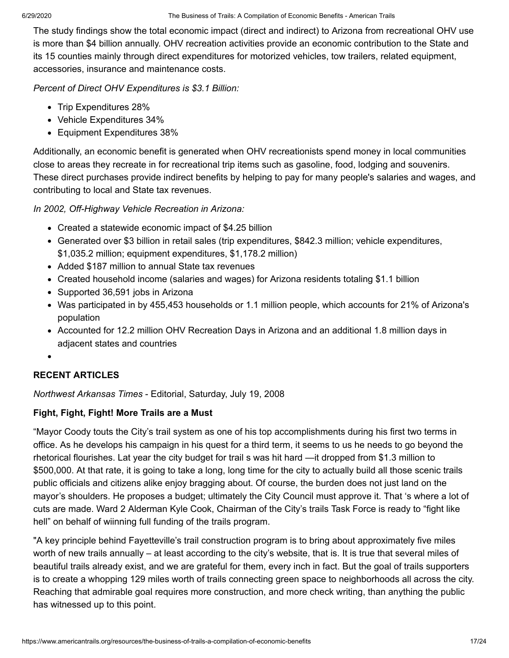The study findings show the total economic impact (direct and indirect) to Arizona from recreational OHV use is more than \$4 billion annually. OHV recreation activities provide an economic contribution to the State and its 15 counties mainly through direct expenditures for motorized vehicles, tow trailers, related equipment, accessories, insurance and maintenance costs.

*Percent of Direct OHV Expenditures is \$3.1 Billion:*

- Trip Expenditures 28%
- Vehicle Expenditures 34%
- Equipment Expenditures 38%

Additionally, an economic benefit is generated when OHV recreationists spend money in local communities close to areas they recreate in for recreational trip items such as gasoline, food, lodging and souvenirs. These direct purchases provide indirect benefits by helping to pay for many people's salaries and wages, and contributing to local and State tax revenues.

*In 2002, Off-Highway Vehicle Recreation in Arizona:*

- Created a statewide economic impact of \$4.25 billion
- Generated over \$3 billion in retail sales (trip expenditures, \$842.3 million; vehicle expenditures, \$1,035.2 million; equipment expenditures, \$1,178.2 million)
- Added \$187 million to annual State tax revenues
- Created household income (salaries and wages) for Arizona residents totaling \$1.1 billion
- Supported 36,591 jobs in Arizona
- Was participated in by 455,453 households or 1.1 million people, which accounts for 21% of Arizona's population
- Accounted for 12.2 million OHV Recreation Days in Arizona and an additional 1.8 million days in adjacent states and countries
- 

#### **RECENT ARTICLES**

*Northwest Arkansas Times* - Editorial, Saturday, July 19, 2008

#### **Fight, Fight, Fight! More Trails are a Must**

"Mayor Coody touts the City's trail system as one of his top accomplishments during his first two terms in office. As he develops his campaign in his quest for a third term, it seems to us he needs to go beyond the rhetorical flourishes. Lat year the city budget for trail s was hit hard *—*it dropped from \$1.3 million to \$500,000. At that rate, it is going to take a long, long time for the city to actually build all those scenic trails public officials and citizens alike enjoy bragging about. Of course, the burden does not just land on the mayor's shoulders. He proposes a budget; ultimately the City Council must approve it. That 's where a lot of cuts are made. Ward 2 Alderman Kyle Cook, Chairman of the City's trails Task Force is ready to "fight like hell" on behalf of wiinning full funding of the trails program.

"A key principle behind Fayetteville's trail construction program is to bring about approximately five miles worth of new trails annually – at least according to the city's website, that is. It is true that several miles of beautiful trails already exist, and we are grateful for them, every inch in fact. But the goal of trails supporters is to create a whopping 129 miles worth of trails connecting green space to neighborhoods all across the city. Reaching that admirable goal requires more construction, and more check writing, than anything the public has witnessed up to this point.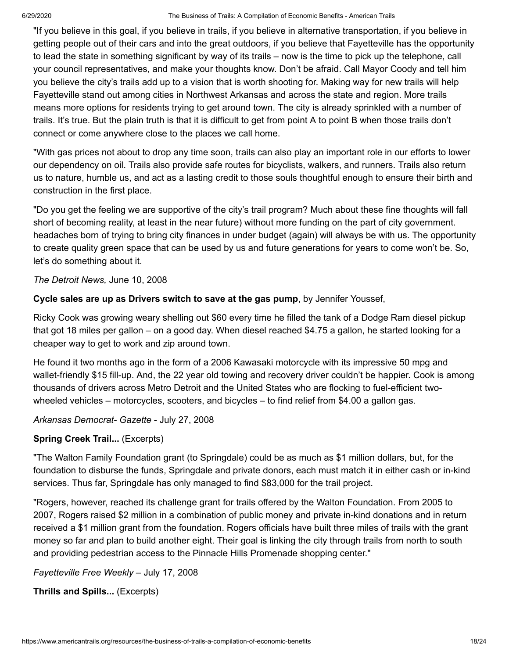"If you believe in this goal, if you believe in trails, if you believe in alternative transportation, if you believe in getting people out of their cars and into the great outdoors, if you believe that Fayetteville has the opportunity to lead the state in something significant by way of its trails – now is the time to pick up the telephone, call your council representatives, and make your thoughts know. Don't be afraid. Call Mayor Coody and tell him you believe the city's trails add up to a vision that is worth shooting for. Making way for new trails will help Fayetteville stand out among cities in Northwest Arkansas and across the state and region. More trails means more options for residents trying to get around town. The city is already sprinkled with a number of trails. It's true. But the plain truth is that it is difficult to get from point A to point B when those trails don't connect or come anywhere close to the places we call home.

"With gas prices not about to drop any time soon, trails can also play an important role in our efforts to lower our dependency on oil. Trails also provide safe routes for bicyclists, walkers, and runners. Trails also return us to nature, humble us, and act as a lasting credit to those souls thoughtful enough to ensure their birth and construction in the first place.

"Do you get the feeling we are supportive of the city's trail program? Much about these fine thoughts will fall short of becoming reality, at least in the near future) without more funding on the part of city government. headaches born of trying to bring city finances in under budget (again) will always be with us. The opportunity to create quality green space that can be used by us and future generations for years to come won't be. So, let's do something about it.

*The Detroit News,* June 10, 2008

#### **Cycle sales are up as Drivers switch to save at the gas pump**, by Jennifer Youssef,

Ricky Cook was growing weary shelling out \$60 every time he filled the tank of a Dodge Ram diesel pickup that got 18 miles per gallon – on a good day. When diesel reached \$4.75 a gallon, he started looking for a cheaper way to get to work and zip around town.

He found it two months ago in the form of a 2006 Kawasaki motorcycle with its impressive 50 mpg and wallet-friendly \$15 fill-up. And, the 22 year old towing and recovery driver couldn't be happier. Cook is among thousands of drivers across Metro Detroit and the United States who are flocking to fuel-efficient twowheeled vehicles – motorcycles, scooters, and bicycles – to find relief from \$4.00 a gallon gas.

*Arkansas Democrat- Gazette* - July 27, 2008

#### **Spring Creek Trail...** (Excerpts)

"The Walton Family Foundation grant (to Springdale) could be as much as \$1 million dollars, but, for the foundation to disburse the funds, Springdale and private donors, each must match it in either cash or in-kind services. Thus far, Springdale has only managed to find \$83,000 for the trail project.

"Rogers, however, reached its challenge grant for trails offered by the Walton Foundation. From 2005 to 2007, Rogers raised \$2 million in a combination of public money and private in-kind donations and in return received a \$1 million grant from the foundation. Rogers officials have built three miles of trails with the grant money so far and plan to build another eight. Their goal is linking the city through trails from north to south and providing pedestrian access to the Pinnacle Hills Promenade shopping center."

*Fayetteville Free Weekly* – July 17, 2008

**Thrills and Spills...** (Excerpts)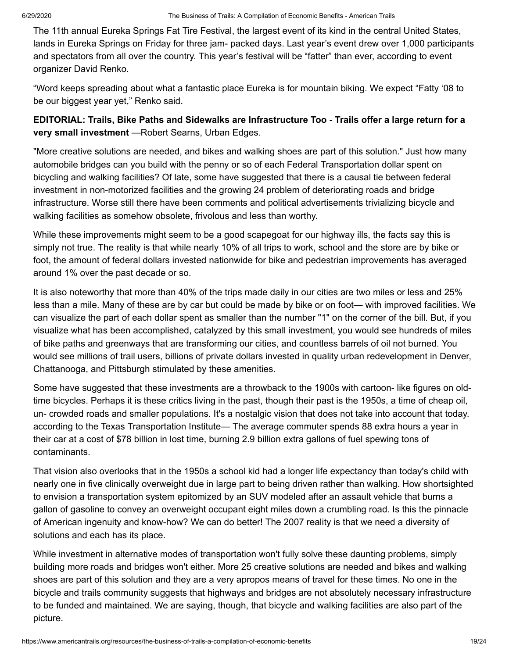The 11th annual Eureka Springs Fat Tire Festival, the largest event of its kind in the central United States, lands in Eureka Springs on Friday for three jam- packed days. Last year's event drew over 1,000 participants and spectators from all over the country. This year's festival will be "fatter" than ever, according to event organizer David Renko.

"Word keeps spreading about what a fantastic place Eureka is for mountain biking. We expect "Fatty '08 to be our biggest year yet," Renko said.

**EDITORIAL: Trails, Bike Paths and Sidewalks are Infrastructure Too - Trails offer a large return for a very small investment** *—*Robert Searns, Urban Edges.

"More creative solutions are needed, and bikes and walking shoes are part of this solution." Just how many automobile bridges can you build with the penny or so of each Federal Transportation dollar spent on bicycling and walking facilities? Of late, some have suggested that there is a causal tie between federal investment in non-motorized facilities and the growing 24 problem of deteriorating roads and bridge infrastructure. Worse still there have been comments and political advertisements trivializing bicycle and walking facilities as somehow obsolete, frivolous and less than worthy.

While these improvements might seem to be a good scapegoat for our highway ills, the facts say this is simply not true. The reality is that while nearly 10% of all trips to work, school and the store are by bike or foot, the amount of federal dollars invested nationwide for bike and pedestrian improvements has averaged around 1% over the past decade or so.

It is also noteworthy that more than 40% of the trips made daily in our cities are two miles or less and 25% less than a mile. Many of these are by car but could be made by bike or on foot— with improved facilities. We can visualize the part of each dollar spent as smaller than the number "1" on the corner of the bill. But, if you visualize what has been accomplished, catalyzed by this small investment, you would see hundreds of miles of bike paths and greenways that are transforming our cities, and countless barrels of oil not burned. You would see millions of trail users, billions of private dollars invested in quality urban redevelopment in Denver, Chattanooga, and Pittsburgh stimulated by these amenities.

Some have suggested that these investments are a throwback to the 1900s with cartoon- like figures on oldtime bicycles. Perhaps it is these critics living in the past, though their past is the 1950s, a time of cheap oil, un- crowded roads and smaller populations. It's a nostalgic vision that does not take into account that today. according to the Texas Transportation Institute— The average commuter spends 88 extra hours a year in their car at a cost of \$78 billion in lost time, burning 2.9 billion extra gallons of fuel spewing tons of contaminants.

That vision also overlooks that in the 1950s a school kid had a longer life expectancy than today's child with nearly one in five clinically overweight due in large part to being driven rather than walking. How shortsighted to envision a transportation system epitomized by an SUV modeled after an assault vehicle that burns a gallon of gasoline to convey an overweight occupant eight miles down a crumbling road. Is this the pinnacle of American ingenuity and know-how? We can do better! The 2007 reality is that we need a diversity of solutions and each has its place.

While investment in alternative modes of transportation won't fully solve these daunting problems, simply building more roads and bridges won't either. More 25 creative solutions are needed and bikes and walking shoes are part of this solution and they are a very apropos means of travel for these times. No one in the bicycle and trails community suggests that highways and bridges are not absolutely necessary infrastructure to be funded and maintained. We are saying, though, that bicycle and walking facilities are also part of the picture.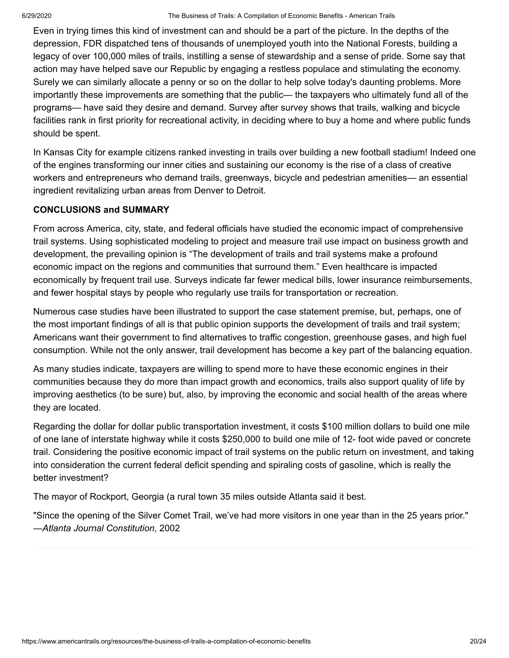Even in trying times this kind of investment can and should be a part of the picture. In the depths of the depression, FDR dispatched tens of thousands of unemployed youth into the National Forests, building a legacy of over 100,000 miles of trails, instilling a sense of stewardship and a sense of pride. Some say that action may have helped save our Republic by engaging a restless populace and stimulating the economy. Surely we can similarly allocate a penny or so on the dollar to help solve today's daunting problems. More importantly these improvements are something that the public— the taxpayers who ultimately fund all of the programs— have said they desire and demand. Survey after survey shows that trails, walking and bicycle facilities rank in first priority for recreational activity, in deciding where to buy a home and where public funds should be spent.

In Kansas City for example citizens ranked investing in trails over building a new football stadium! Indeed one of the engines transforming our inner cities and sustaining our economy is the rise of a class of creative workers and entrepreneurs who demand trails, greenways, bicycle and pedestrian amenities— an essential ingredient revitalizing urban areas from Denver to Detroit.

#### **CONCLUSIONS and SUMMARY**

From across America, city, state, and federal officials have studied the economic impact of comprehensive trail systems. Using sophisticated modeling to project and measure trail use impact on business growth and development, the prevailing opinion is "The development of trails and trail systems make a profound economic impact on the regions and communities that surround them." Even healthcare is impacted economically by frequent trail use. Surveys indicate far fewer medical bills, lower insurance reimbursements, and fewer hospital stays by people who regularly use trails for transportation or recreation.

Numerous case studies have been illustrated to support the case statement premise, but, perhaps, one of the most important findings of all is that public opinion supports the development of trails and trail system; Americans want their government to find alternatives to traffic congestion, greenhouse gases, and high fuel consumption. While not the only answer, trail development has become a key part of the balancing equation.

As many studies indicate, taxpayers are willing to spend more to have these economic engines in their communities because they do more than impact growth and economics, trails also support quality of life by improving aesthetics (to be sure) but, also, by improving the economic and social health of the areas where they are located.

Regarding the dollar for dollar public transportation investment, it costs \$100 million dollars to build one mile of one lane of interstate highway while it costs \$250,000 to build one mile of 12- foot wide paved or concrete trail. Considering the positive economic impact of trail systems on the public return on investment, and taking into consideration the current federal deficit spending and spiraling costs of gasoline, which is really the better investment?

The mayor of Rockport, Georgia (a rural town 35 miles outside Atlanta said it best.

"Since the opening of the Silver Comet Trail, we've had more visitors in one year than in the 25 years prior." *—Atlanta Journal Constitution,* 2002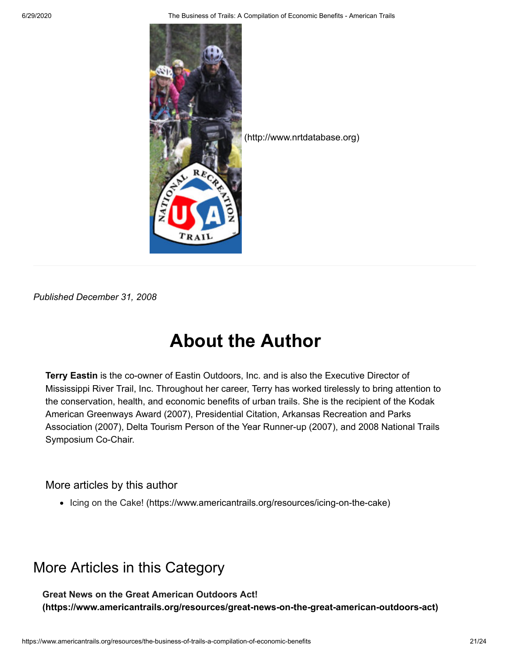6/29/2020 The Business of Trails: A Compilation of Economic Benefits - American Trails



*Published December 31, 2008*

## **About the Author**

**Terry Eastin** is the co-owner of Eastin Outdoors, Inc. and is also the Executive Director of Mississippi River Trail, Inc. Throughout her career, Terry has worked tirelessly to bring attention to the conservation, health, and economic benefits of urban trails. She is the recipient of the Kodak American Greenways Award (2007), Presidential Citation, Arkansas Recreation and Parks Association (2007), Delta Tourism Person of the Year Runner-up (2007), and 2008 National Trails Symposium Co-Chair.

#### More articles by this author

• [Icing on the Cake! \(https://www.americantrails.org/resources/icing-on-the-cake\)](https://www.americantrails.org/resources/icing-on-the-cake)

## More Articles in this Category

**Great News on the Great American Outdoors Act! [\(https://www.americantrails.org/resources/great-news-on-the-great-american-outdoors-act\)](https://www.americantrails.org/resources/great-news-on-the-great-american-outdoors-act)**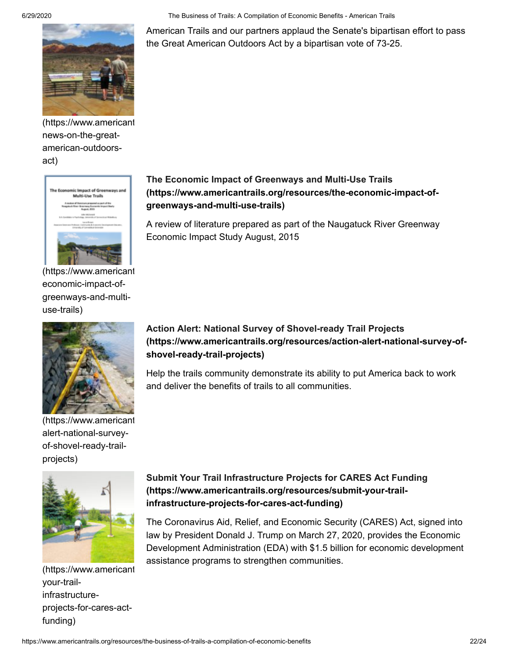

[\(https://www.americant](https://www.americantrails.org/resources/great-news-on-the-great-american-outdoors-act) news-on-the-greatamerican-outdoorsact)



[\(https://www.americant](https://www.americantrails.org/resources/the-economic-impact-of-greenways-and-multi-use-trails) economic-impact-ofgreenways-and-multiuse-trails)



[\(https://www.americant](https://www.americantrails.org/resources/action-alert-national-survey-of-shovel-ready-trail-projects) alert-national-surveyof-shovel-ready-trailprojects)



[\(https://www.americant](https://www.americantrails.org/resources/submit-your-trail-infrastructure-projects-for-cares-act-funding) your-trailinfrastructureprojects-for-cares-actfunding)

6/29/2020 The Business of Trails: A Compilation of Economic Benefits - American Trails

American Trails and our partners applaud the Senate's bipartisan effort to pass the Great American Outdoors Act by a bipartisan vote of 73-25.

#### **The Economic Impact of Greenways and Multi-Use Trails [\(https://www.americantrails.org/resources/the-economic-impact-of](https://www.americantrails.org/resources/the-economic-impact-of-greenways-and-multi-use-trails)greenways-and-multi-use-trails)**

A review of literature prepared as part of the Naugatuck River Greenway Economic Impact Study August, 2015

#### **Action Alert: National Survey of Shovel-ready Trail Projects [\(https://www.americantrails.org/resources/action-alert-national-survey-of](https://www.americantrails.org/resources/action-alert-national-survey-of-shovel-ready-trail-projects)shovel-ready-trail-projects)**

Help the trails community demonstrate its ability to put America back to work and deliver the benefits of trails to all communities.

#### **[Submit Your Trail Infrastructure Projects for CARES Act Funding](https://www.americantrails.org/resources/submit-your-trail-infrastructure-projects-for-cares-act-funding) (https://www.americantrails.org/resources/submit-your-trailinfrastructure-projects-for-cares-act-funding)**

The Coronavirus Aid, Relief, and Economic Security (CARES) Act, signed into law by President Donald J. Trump on March 27, 2020, provides the Economic Development Administration (EDA) with \$1.5 billion for economic development assistance programs to strengthen communities.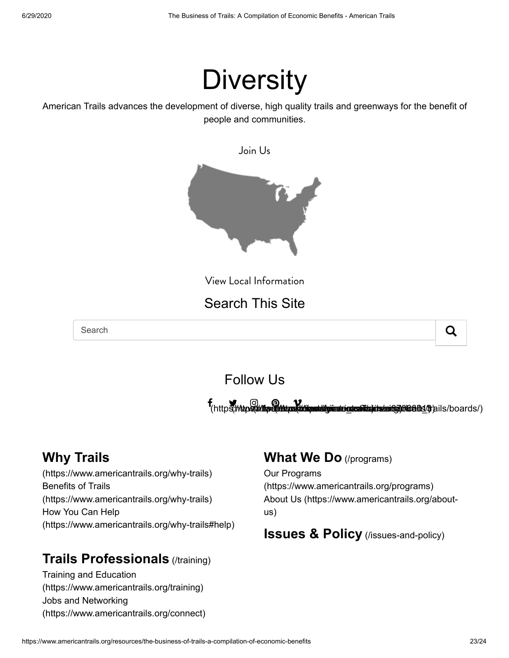# **Diversity**

American Trails advances the development of diverse, high quality trails and greenways for the benefit of people and communities.



View Local Information

## Search This Site

Search  $\overline{Q}$ 



## Follow Us

f entrepreneur of the Magazine of the Magazine of the Magazine of the Magazine of the Magazine of the Magazine of the Magazine of the Magazine of the Magazine of the Magazine of the Magazine of the Magazine of the Magazine ww.instagram.com/americantrails/boards/) (https://www.pinterest.com/americantrails/boards/) (https://vimeo.com/

## **Why Trails**

[\(https://www.americantrails.org/why-trails\)](https://www.americantrails.org/why-trails) Benefits of Trails [\(https://www.americantrails.org/why-trails\)](https://www.americantrails.org/why-trails) How You Can Help [\(https://www.americantrails.org/why-trails#help\)](https://www.americantrails.org/why-trails#help)

## **[Trails Professionals](https://www.americantrails.org/training)** (/training)

Training and Education [\(https://www.americantrails.org/training\)](https://www.americantrails.org/training) Jobs and Networking [\(https://www.americantrails.org/connect\)](https://www.americantrails.org/connect)

### **[What We Do](https://www.americantrails.org/programs)** (/programs)

Our Programs [\(https://www.americantrails.org/programs\)](https://www.americantrails.org/programs) [About Us \(https://www.americantrails.org/about](https://www.americantrails.org/about-us)us)

**[Issues & Policy](https://www.americantrails.org/issues-and-policy)** (*I*ssues-and-policy)